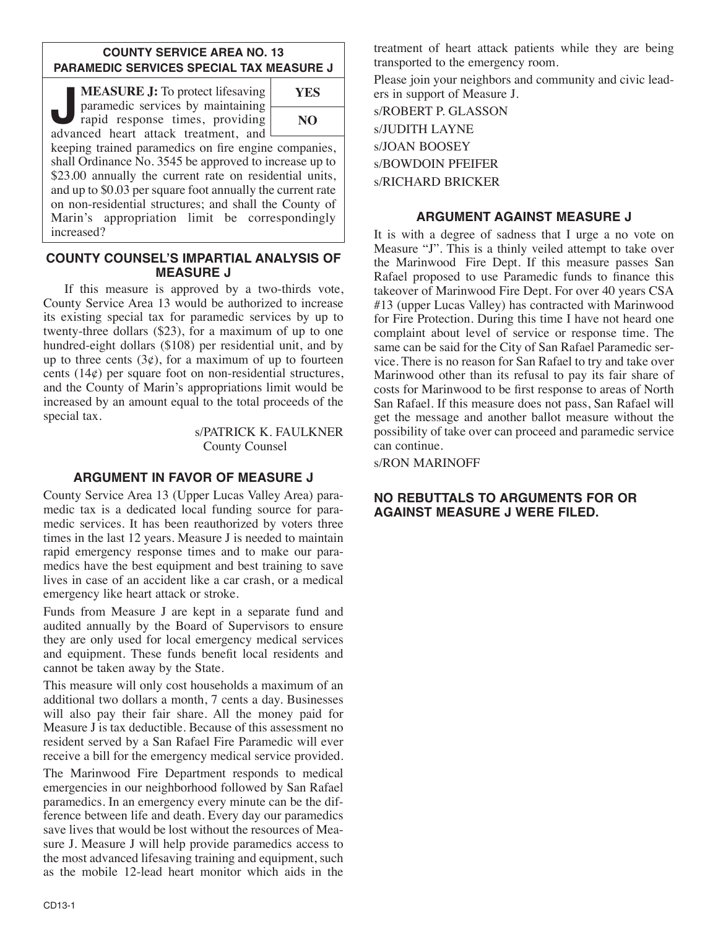#### **COUNTY SERVICE AREA NO. 13 PARAMEDIC SERVICES SPECIAL TAX MEASURE J**

**MEASURE J:** To protect lifesaving<br>
paramedic services by maintaining<br>
rapid response times, providing<br>
advanced heart attack treatment, and paramedic services by maintaining advanced heart attack treatment, and



keeping trained paramedics on fire engine companies, shall Ordinance No. 3545 be approved to increase up to \$23.00 annually the current rate on residential units, and up to \$0.03 per square foot annually the current rate on non-residential structures; and shall the County of Marin's appropriation limit be correspondingly increased?

### **COUNTY COUNSEL'S IMPARTIAL ANALYSIS OF MEASURE J**

If this measure is approved by a two-thirds vote, County Service Area 13 would be authorized to increase its existing special tax for paramedic services by up to twenty-three dollars (\$23), for a maximum of up to one hundred-eight dollars (\$108) per residential unit, and by up to three cents  $(3\phi)$ , for a maximum of up to fourteen cents (14¢) per square foot on non-residential structures, and the County of Marin's appropriations limit would be increased by an amount equal to the total proceeds of the special tax.

> s/PATRICK K. FAULKNER County Counsel

# **ARGUMENT IN FAVOR OF MEASURE J**

County Service Area 13 (Upper Lucas Valley Area) paramedic tax is a dedicated local funding source for paramedic services. It has been reauthorized by voters three times in the last 12 years. Measure J is needed to maintain rapid emergency response times and to make our paramedics have the best equipment and best training to save lives in case of an accident like a car crash, or a medical emergency like heart attack or stroke.

Funds from Measure J are kept in a separate fund and audited annually by the Board of Supervisors to ensure they are only used for local emergency medical services and equipment. These funds benefit local residents and cannot be taken away by the State.

This measure will only cost households a maximum of an additional two dollars a month, 7 cents a day. Businesses will also pay their fair share. All the money paid for Measure J is tax deductible. Because of this assessment no resident served by a San Rafael Fire Paramedic will ever receive a bill for the emergency medical service provided.

The Marinwood Fire Department responds to medical emergencies in our neighborhood followed by San Rafael paramedics. In an emergency every minute can be the difference between life and death. Every day our paramedics save lives that would be lost without the resources of Measure J. Measure J will help provide paramedics access to the most advanced lifesaving training and equipment, such as the mobile 12-lead heart monitor which aids in the

treatment of heart attack patients while they are being transported to the emergency room.

Please join your neighbors and community and civic leaders in support of Measure J.

s/ROBERT P. GLASSON s/JUDITH LAYNE s/JOAN BOOSEY s/BOWDOIN PFEIFER s/RICHARD BRICKER

# **ARGUMENT AGAINST MEASURE J**

It is with a degree of sadness that I urge a no vote on Measure "J". This is a thinly veiled attempt to take over the Marinwood Fire Dept. If this measure passes San Rafael proposed to use Paramedic funds to finance this takeover of Marinwood Fire Dept. For over 40 years CSA #13 (upper Lucas Valley) has contracted with Marinwood for Fire Protection. During this time I have not heard one complaint about level of service or response time. The same can be said for the City of San Rafael Paramedic service. There is no reason for San Rafael to try and take over Marinwood other than its refusal to pay its fair share of costs for Marinwood to be first response to areas of North San Rafael. If this measure does not pass, San Rafael will get the message and another ballot measure without the possibility of take over can proceed and paramedic service can continue.

s/RON MARINOFF

## **NO REBUTTALS TO ARGUMENTS FOR OR AGAINST MEASURE J WERE FILED.**